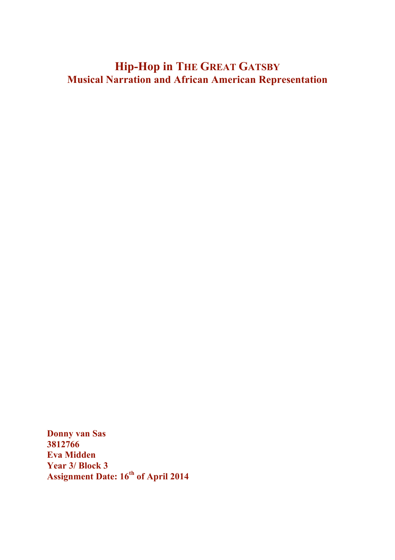# **Hip-Hop in THE GREAT GATSBY Musical Narration and African American Representation**

**Donny van Sas 3812766 Eva Midden Year 3/ Block 3 Assignment Date: 16th of April 2014**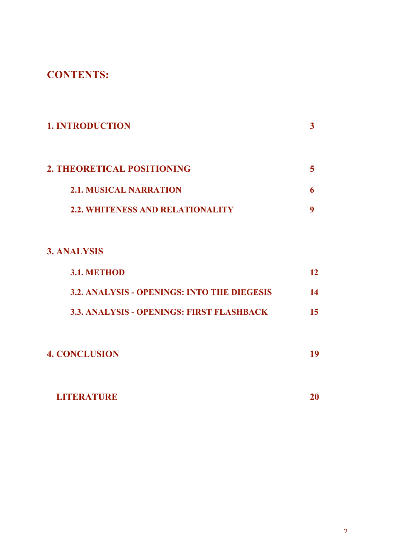## **CONTENTS:**

| <b>1. INTRODUCTION</b>                  |  |
|-----------------------------------------|--|
| 2. THEORETICAL POSITIONING              |  |
| <b>2.1. MUSICAL NARRATION</b>           |  |
| <b>2.2. WHITENESS AND RELATIONALITY</b> |  |

## **3. ANALYSIS**

| <b>3.1. METHOD</b>                               |     |
|--------------------------------------------------|-----|
| 3.2. ANALYSIS - OPENINGS: INTO THE DIEGESIS      | 14  |
| <b>3.3. ANALYSIS - OPENINGS: FIRST FLASHBACK</b> | 15. |

| <b>4. CONCLUSION</b> | 19 |
|----------------------|----|
|                      |    |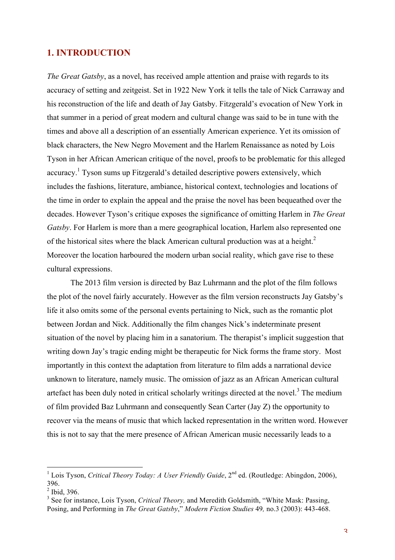## **1. INTRODUCTION**

*The Great Gatsby*, as a novel, has received ample attention and praise with regards to its accuracy of setting and zeitgeist. Set in 1922 New York it tells the tale of Nick Carraway and his reconstruction of the life and death of Jay Gatsby. Fitzgerald's evocation of New York in that summer in a period of great modern and cultural change was said to be in tune with the times and above all a description of an essentially American experience. Yet its omission of black characters, the New Negro Movement and the Harlem Renaissance as noted by Lois Tyson in her African American critique of the novel, proofs to be problematic for this alleged accuracy.<sup>1</sup> Tyson sums up Fitzgerald's detailed descriptive powers extensively, which includes the fashions, literature, ambiance, historical context, technologies and locations of the time in order to explain the appeal and the praise the novel has been bequeathed over the decades. However Tyson's critique exposes the significance of omitting Harlem in *The Great Gatsby*. For Harlem is more than a mere geographical location, Harlem also represented one of the historical sites where the black American cultural production was at a height. $^2$ Moreover the location harboured the modern urban social reality, which gave rise to these cultural expressions.

The 2013 film version is directed by Baz Luhrmann and the plot of the film follows the plot of the novel fairly accurately. However as the film version reconstructs Jay Gatsby's life it also omits some of the personal events pertaining to Nick, such as the romantic plot between Jordan and Nick. Additionally the film changes Nick's indeterminate present situation of the novel by placing him in a sanatorium. The therapist's implicit suggestion that writing down Jay's tragic ending might be therapeutic for Nick forms the frame story. Most importantly in this context the adaptation from literature to film adds a narrational device unknown to literature, namely music. The omission of jazz as an African American cultural artefact has been duly noted in critical scholarly writings directed at the novel.<sup>3</sup> The medium of film provided Baz Luhrmann and consequently Sean Carter (Jay Z) the opportunity to recover via the means of music that which lacked representation in the written word. However this is not to say that the mere presence of African American music necessarily leads to a

<sup>&</sup>lt;sup>1</sup> Lois Tyson, *Critical Theory Today: A User Friendly Guide*, 2<sup>nd</sup> ed. (Routledge: Abingdon, 2006), 396.

 $<sup>2</sup>$  Ibid, 396.</sup>

<sup>&</sup>lt;sup>3</sup> See for instance, Lois Tyson, *Critical Theory*, and Meredith Goldsmith, "White Mask: Passing, Posing, and Performing in *The Great Gatsby*," *Modern Fiction Studies* 49*,* no.3 (2003): 443-468.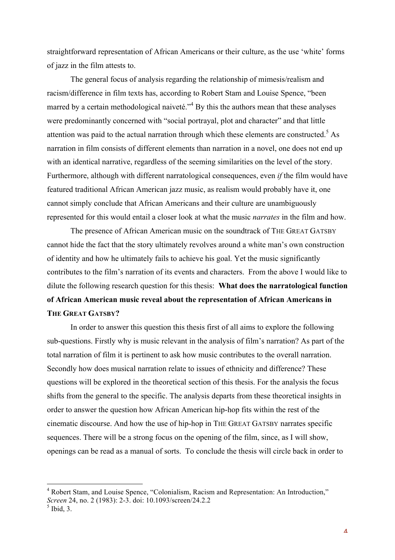straightforward representation of African Americans or their culture, as the use 'white' forms of jazz in the film attests to.

The general focus of analysis regarding the relationship of mimesis/realism and racism/difference in film texts has, according to Robert Stam and Louise Spence, "been marred by a certain methodological naiveté.<sup> $,$ 4</sup> By this the authors mean that these analyses were predominantly concerned with "social portrayal, plot and character" and that little attention was paid to the actual narration through which these elements are constructed.<sup>5</sup> As narration in film consists of different elements than narration in a novel, one does not end up with an identical narrative, regardless of the seeming similarities on the level of the story. Furthermore, although with different narratological consequences, even *if* the film would have featured traditional African American jazz music, as realism would probably have it, one cannot simply conclude that African Americans and their culture are unambiguously represented for this would entail a closer look at what the music *narrates* in the film and how.

The presence of African American music on the soundtrack of THE GREAT GATSBY cannot hide the fact that the story ultimately revolves around a white man's own construction of identity and how he ultimately fails to achieve his goal. Yet the music significantly contributes to the film's narration of its events and characters. From the above I would like to dilute the following research question for this thesis: **What does the narratological function of African American music reveal about the representation of African Americans in THE GREAT GATSBY?**

In order to answer this question this thesis first of all aims to explore the following sub-questions. Firstly why is music relevant in the analysis of film's narration? As part of the total narration of film it is pertinent to ask how music contributes to the overall narration. Secondly how does musical narration relate to issues of ethnicity and difference? These questions will be explored in the theoretical section of this thesis. For the analysis the focus shifts from the general to the specific. The analysis departs from these theoretical insights in order to answer the question how African American hip-hop fits within the rest of the cinematic discourse. And how the use of hip-hop in THE GREAT GATSBY narrates specific sequences. There will be a strong focus on the opening of the film, since, as I will show, openings can be read as a manual of sorts. To conclude the thesis will circle back in order to

<sup>&</sup>lt;sup>4</sup> Robert Stam, and Louise Spence, "Colonialism, Racism and Representation: An Introduction," *Screen* 24, no. 2 (1983): 2-3. doi: 10.1093/screen/24.2.2

 $<sup>5</sup>$  Ibid, 3.</sup>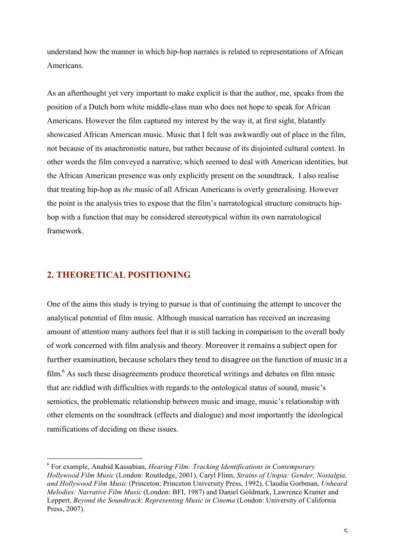understand how the manner in which hip-hop narrates is related to representations of African Americans.

As an afterthought yet very important to make explicit is that the author, me, speaks from the position of a Dutch born white middle-class man who does not hope to speak for African Americans. However the film captured my interest by the way it, at first sight, blatantly showcased African American music. Music that I felt was awkwardly out of place in the film, not because of its anachronistic nature, but rather because of its disjointed cultural context. In other words the film conveyed a narrative, which seemed to deal with American identities, but the African American presence was only explicitly present on the soundtrack. I also realise that treating hip-hop as *the* music of all African Americans is overly generalising. However the point is the analysis tries to expose that the film's narratological structure constructs hiphop with a function that may be considered stereotypical within its own narratological framework.

## **2. THEORETICAL POSITIONING**

One of the aims this study is trying to pursue is that of continuing the attempt to uncover the analytical potential of film music. Although musical narration has received an increasing amount of attention many authors feel that it is still lacking in comparison to the overall body of work concerned with film analysis and theory. Moreover it remains a subject open for further examination, because scholars they tend to disagree on the function of music in a film.<sup>6</sup> As such these disagreements produce theoretical writings and debates on film music that are riddled with difficulties with regards to the ontological status of sound, music's semiotics, the problematic relationship between music and image, music's relationship with other elements on the soundtrack (effects and dialogue) and most importantly the ideological ramifications of deciding on these issues.

<sup>6</sup> For example, Anahid Kassabian, *Hearing Film: Tracking Identifications in Contemporary Hollywood Film Music* (London: Routledge, 2001), Caryl Flinn, *Strains of Utopia: Gender, Nostalgia, and Hollywood Film Music* (Princeton: Princeton University Press, 1992), Claudia Gorbman, *Unheard Melodies: Narrative Film Music* (London: BFI, 1987) and Daniel Goldmark, Lawrence Kramer and Leppert, *Beyond the Soundtrack*: *Representing Music in Cinema* (London: University of California Press, 2007).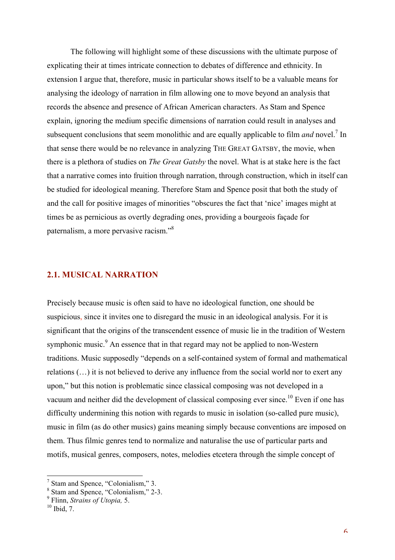The following will highlight some of these discussions with the ultimate purpose of explicating their at times intricate connection to debates of difference and ethnicity. In extension I argue that, therefore, music in particular shows itself to be a valuable means for analysing the ideology of narration in film allowing one to move beyond an analysis that records the absence and presence of African American characters. As Stam and Spence explain, ignoring the medium specific dimensions of narration could result in analyses and subsequent conclusions that seem monolithic and are equally applicable to film *and* novel.<sup>7</sup> In that sense there would be no relevance in analyzing THE GREAT GATSBY, the movie, when there is a plethora of studies on *The Great Gatsby* the novel. What is at stake here is the fact that a narrative comes into fruition through narration, through construction, which in itself can be studied for ideological meaning. Therefore Stam and Spence posit that both the study of and the call for positive images of minorities "obscures the fact that 'nice' images might at times be as pernicious as overtly degrading ones, providing a bourgeois façade for paternalism, a more pervasive racism."8

#### **2.1. MUSICAL NARRATION**

Precisely because music is often said to have no ideological function, one should be suspicious, since it invites one to disregard the music in an ideological analysis. For it is significant that the origins of the transcendent essence of music lie in the tradition of Western symphonic music.<sup>9</sup> An essence that in that regard may not be applied to non-Western traditions. Music supposedly "depends on a self-contained system of formal and mathematical relations (…) it is not believed to derive any influence from the social world nor to exert any upon," but this notion is problematic since classical composing was not developed in a vacuum and neither did the development of classical composing ever since.<sup>10</sup> Even if one has difficulty undermining this notion with regards to music in isolation (so-called pure music), music in film (as do other musics) gains meaning simply because conventions are imposed on them. Thus filmic genres tend to normalize and naturalise the use of particular parts and motifs, musical genres, composers, notes, melodies etcetera through the simple concept of

<sup>&</sup>lt;sup>7</sup> Stam and Spence, "Colonialism," 3.

<sup>8</sup> Stam and Spence, "Colonialism," 2-3.

<sup>9</sup> Flinn, *Strains of Utopia,* 5.

 $^{10}$  Ibid, 7.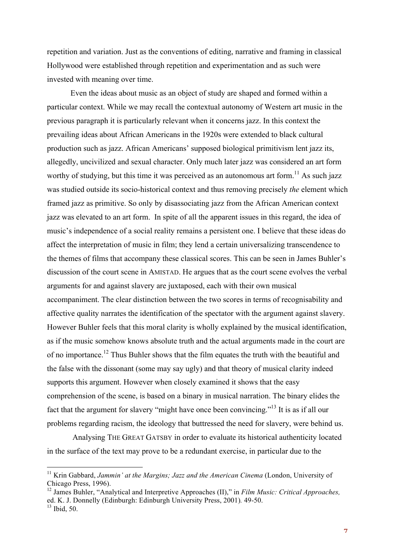repetition and variation. Just as the conventions of editing, narrative and framing in classical Hollywood were established through repetition and experimentation and as such were invested with meaning over time.

Even the ideas about music as an object of study are shaped and formed within a particular context. While we may recall the contextual autonomy of Western art music in the previous paragraph it is particularly relevant when it concerns jazz. In this context the prevailing ideas about African Americans in the 1920s were extended to black cultural production such as jazz. African Americans' supposed biological primitivism lent jazz its, allegedly, uncivilized and sexual character. Only much later jazz was considered an art form worthy of studying, but this time it was perceived as an autonomous art form.<sup>11</sup> As such jazz was studied outside its socio-historical context and thus removing precisely *the* element which framed jazz as primitive. So only by disassociating jazz from the African American context jazz was elevated to an art form. In spite of all the apparent issues in this regard, the idea of music's independence of a social reality remains a persistent one. I believe that these ideas do affect the interpretation of music in film; they lend a certain universalizing transcendence to the themes of films that accompany these classical scores. This can be seen in James Buhler's discussion of the court scene in AMISTAD. He argues that as the court scene evolves the verbal arguments for and against slavery are juxtaposed, each with their own musical accompaniment. The clear distinction between the two scores in terms of recognisability and affective quality narrates the identification of the spectator with the argument against slavery. However Buhler feels that this moral clarity is wholly explained by the musical identification, as if the music somehow knows absolute truth and the actual arguments made in the court are of no importance.<sup>12</sup> Thus Buhler shows that the film equates the truth with the beautiful and the false with the dissonant (some may say ugly) and that theory of musical clarity indeed supports this argument. However when closely examined it shows that the easy comprehension of the scene, is based on a binary in musical narration. The binary elides the fact that the argument for slavery "might have once been convincing."13 It is as if all our problems regarding racism, the ideology that buttressed the need for slavery, were behind us.

Analysing THE GREAT GATSBY in order to evaluate its historical authenticity located in the surface of the text may prove to be a redundant exercise, in particular due to the

<sup>&</sup>lt;sup>11</sup> Krin Gabbard, *Jammin' at the Margins; Jazz and the American Cinema* (London, University of Chicago Press, 1996).

<sup>12</sup> James Buhler, "Analytical and Interpretive Approaches (II)," in *Film Music: Critical Approaches,*  ed. K. J. Donnelly (Edinburgh: Edinburgh University Press, 2001)*.* 49-50.

 $^{13}$  Ibid, 50.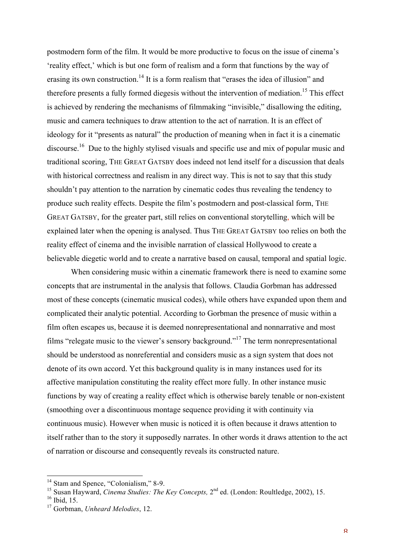postmodern form of the film. It would be more productive to focus on the issue of cinema's 'reality effect,' which is but one form of realism and a form that functions by the way of erasing its own construction.<sup>14</sup> It is a form realism that "erases the idea of illusion" and therefore presents a fully formed diegesis without the intervention of mediation.<sup>15</sup> This effect is achieved by rendering the mechanisms of filmmaking "invisible," disallowing the editing, music and camera techniques to draw attention to the act of narration. It is an effect of ideology for it "presents as natural" the production of meaning when in fact it is a cinematic discourse.<sup>16</sup> Due to the highly stylised visuals and specific use and mix of popular music and traditional scoring, THE GREAT GATSBY does indeed not lend itself for a discussion that deals with historical correctness and realism in any direct way. This is not to say that this study shouldn't pay attention to the narration by cinematic codes thus revealing the tendency to produce such reality effects. Despite the film's postmodern and post-classical form, THE GREAT GATSBY, for the greater part, still relies on conventional storytelling, which will be explained later when the opening is analysed. Thus THE GREAT GATSBY too relies on both the reality effect of cinema and the invisible narration of classical Hollywood to create a believable diegetic world and to create a narrative based on causal, temporal and spatial logic.

 When considering music within a cinematic framework there is need to examine some concepts that are instrumental in the analysis that follows. Claudia Gorbman has addressed most of these concepts (cinematic musical codes), while others have expanded upon them and complicated their analytic potential. According to Gorbman the presence of music within a film often escapes us, because it is deemed nonrepresentational and nonnarrative and most films "relegate music to the viewer's sensory background."17 The term nonrepresentational should be understood as nonreferential and considers music as a sign system that does not denote of its own accord. Yet this background quality is in many instances used for its affective manipulation constituting the reality effect more fully. In other instance music functions by way of creating a reality effect which is otherwise barely tenable or non-existent (smoothing over a discontinuous montage sequence providing it with continuity via continuous music). However when music is noticed it is often because it draws attention to itself rather than to the story it supposedly narrates. In other words it draws attention to the act of narration or discourse and consequently reveals its constructed nature.

<sup>&</sup>lt;sup>14</sup> Stam and Spence, "Colonialism," 8-9.

<sup>&</sup>lt;sup>15</sup> Susan Hayward, *Cinema Studies: The Key Concepts*, 2<sup>nd</sup> ed. (London: Roultledge, 2002), 15.

 $16$  Ibid, 15.

<sup>17</sup> Gorbman, *Unheard Melodies*, 12.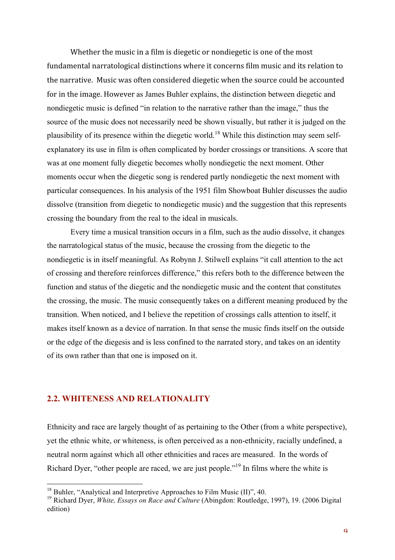Whether the music in a film is diegetic or nondiegetic is one of the most fundamental narratological distinctions where it concerns film music and its relation to the narrative. Music was often considered diegetic when the source could be accounted for in the image. However as James Buhler explains, the distinction between diegetic and nondiegetic music is defined "in relation to the narrative rather than the image," thus the source of the music does not necessarily need be shown visually, but rather it is judged on the plausibility of its presence within the diegetic world.<sup>18</sup> While this distinction may seem selfexplanatory its use in film is often complicated by border crossings or transitions. A score that was at one moment fully diegetic becomes wholly nondiegetic the next moment. Other moments occur when the diegetic song is rendered partly nondiegetic the next moment with particular consequences. In his analysis of the 1951 film Showboat Buhler discusses the audio dissolve (transition from diegetic to nondiegetic music) and the suggestion that this represents crossing the boundary from the real to the ideal in musicals.

Every time a musical transition occurs in a film, such as the audio dissolve, it changes the narratological status of the music, because the crossing from the diegetic to the nondiegetic is in itself meaningful. As Robynn J. Stilwell explains "it call attention to the act of crossing and therefore reinforces difference," this refers both to the difference between the function and status of the diegetic and the nondiegetic music and the content that constitutes the crossing, the music. The music consequently takes on a different meaning produced by the transition. When noticed, and I believe the repetition of crossings calls attention to itself, it makes itself known as a device of narration. In that sense the music finds itself on the outside or the edge of the diegesis and is less confined to the narrated story, and takes on an identity of its own rather than that one is imposed on it.

### **2.2. WHITENESS AND RELATIONALITY**

Ethnicity and race are largely thought of as pertaining to the Other (from a white perspective), yet the ethnic white, or whiteness, is often perceived as a non-ethnicity, racially undefined, a neutral norm against which all other ethnicities and races are measured. In the words of Richard Dyer, "other people are raced, we are just people."<sup>19</sup> In films where the white is

<sup>&</sup>lt;sup>18</sup> Buhler, "Analytical and Interpretive Approaches to Film Music (II)", 40.

<sup>19</sup> Richard Dyer, *White, Essays on Race and Culture* (Abingdon: Routledge, 1997), 19. (2006 Digital edition)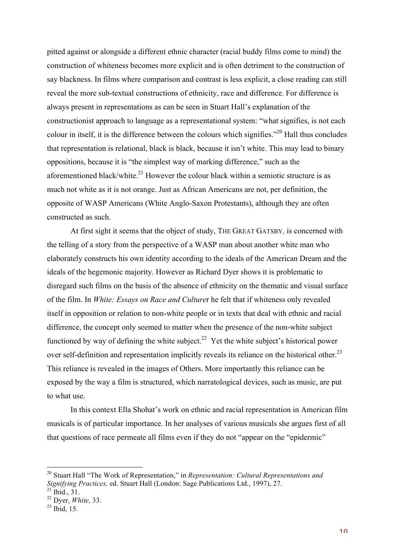pitted against or alongside a different ethnic character (racial buddy films come to mind) the construction of whiteness becomes more explicit and is often detriment to the construction of say blackness. In films where comparison and contrast is less explicit, a close reading can still reveal the more sub-textual constructions of ethnicity, race and difference. For difference is always present in representations as can be seen in Stuart Hall's explanation of the constructionist approach to language as a representational system: "what signifies, is not each colour in itself, it is the difference between the colours which signifies."20 Hall thus concludes that representation is relational, black is black, because it isn't white. This may lead to binary oppositions, because it is "the simplest way of marking difference," such as the aforementioned black/white. $^{21}$  However the colour black within a semiotic structure is as much not white as it is not orange. Just as African Americans are not, per definition, the opposite of WASP Americans (White Anglo-Saxon Protestants), although they are often constructed as such.

At first sight it seems that the object of study, THE GREAT GATSBY*,* is concerned with the telling of a story from the perspective of a WASP man about another white man who elaborately constructs his own identity according to the ideals of the American Dream and the ideals of the hegemonic majority. However as Richard Dyer shows it is problematic to disregard such films on the basis of the absence of ethnicity on the thematic and visual surface of the film. In *White: Essays on Race and Culture*r he felt that if whiteness only revealed itself in opposition or relation to non-white people or in texts that deal with ethnic and racial difference, the concept only seemed to matter when the presence of the non-white subject functioned by way of defining the white subject.<sup>22</sup> Yet the white subject's historical power over self-definition and representation implicitly reveals its reliance on the historical other.<sup>23</sup> This reliance is revealed in the images of Others. More importantly this reliance can be exposed by the way a film is structured, which narratological devices, such as music, are put to what use.

In this context Ella Shohat's work on ethnic and racial representation in American film musicals is of particular importance. In her analyses of various musicals she argues first of all that questions of race permeate all films even if they do not "appear on the "epidermic"

<sup>20</sup> Stuart Hall "The Work of Representation," in *Representation: Cultural Representations and Signifying Practices,* ed. Stuart Hall (London: Sage Publications Ltd., 1997), 27.  $^{21}$  Ibid., 31.

<sup>22</sup> Dyer, *White,* 33.

 $^{23}$  Ibid. 15.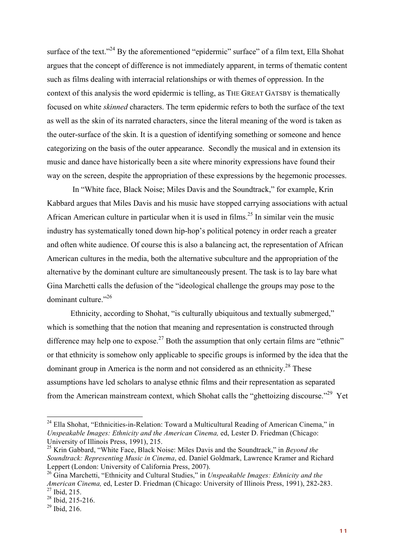surface of the text."<sup>24</sup> By the aforementioned "epidermic" surface" of a film text, Ella Shohat argues that the concept of difference is not immediately apparent, in terms of thematic content such as films dealing with interracial relationships or with themes of oppression. In the context of this analysis the word epidermic is telling, as THE GREAT GATSBY is thematically focused on white *skinned* characters. The term epidermic refers to both the surface of the text as well as the skin of its narrated characters, since the literal meaning of the word is taken as the outer-surface of the skin. It is a question of identifying something or someone and hence categorizing on the basis of the outer appearance. Secondly the musical and in extension its music and dance have historically been a site where minority expressions have found their way on the screen, despite the appropriation of these expressions by the hegemonic processes.

In "White face, Black Noise; Miles Davis and the Soundtrack," for example, Krin Kabbard argues that Miles Davis and his music have stopped carrying associations with actual African American culture in particular when it is used in films.<sup>25</sup> In similar vein the music industry has systematically toned down hip-hop's political potency in order reach a greater and often white audience. Of course this is also a balancing act, the representation of African American cultures in the media, both the alternative subculture and the appropriation of the alternative by the dominant culture are simultaneously present. The task is to lay bare what Gina Marchetti calls the defusion of the "ideological challenge the groups may pose to the dominant culture."<sup>26</sup>

Ethnicity, according to Shohat, "is culturally ubiquitous and textually submerged," which is something that the notion that meaning and representation is constructed through difference may help one to expose.<sup>27</sup> Both the assumption that only certain films are "ethnic" or that ethnicity is somehow only applicable to specific groups is informed by the idea that the dominant group in America is the norm and not considered as an ethnicity.<sup>28</sup> These assumptions have led scholars to analyse ethnic films and their representation as separated from the American mainstream context, which Shohat calls the "ghettoizing discourse."<sup>29</sup> Yet

 $24$  Ella Shohat, "Ethnicities-in-Relation: Toward a Multicultural Reading of American Cinema," in *Unspeakable Images: Ethnicity and the American Cinema,* ed, Lester D. Friedman (Chicago: University of Illinois Press, 1991), 215.

<sup>25</sup> Krin Gabbard, "White Face, Black Noise: Miles Davis and the Soundtrack," in *Beyond the Soundtrack: Representing Music in Cinema*, ed. Daniel Goldmark, Lawrence Kramer and Richard Leppert (London: University of California Press, 2007).

<sup>26</sup> Gina Marchetti, "Ethnicity and Cultural Studies," in *Unspeakable Images: Ethnicity and the American Cinema,* ed, Lester D. Friedman (Chicago: University of Illinois Press, 1991), 282-283.  $^{27}$  Ibid, 215.

 $28$  Ibid, 215-216.

 $^{29}$  Ibid, 216.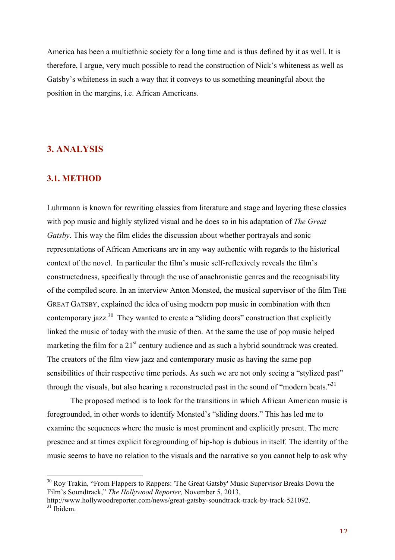America has been a multiethnic society for a long time and is thus defined by it as well. It is therefore, I argue, very much possible to read the construction of Nick's whiteness as well as Gatsby's whiteness in such a way that it conveys to us something meaningful about the position in the margins, i.e. African Americans.

## **3. ANALYSIS**

#### **3.1. METHOD**

Luhrmann is known for rewriting classics from literature and stage and layering these classics with pop music and highly stylized visual and he does so in his adaptation of *The Great Gatsby*. This way the film elides the discussion about whether portrayals and sonic representations of African Americans are in any way authentic with regards to the historical context of the novel. In particular the film's music self-reflexively reveals the film's constructedness, specifically through the use of anachronistic genres and the recognisability of the compiled score. In an interview Anton Monsted, the musical supervisor of the film THE GREAT GATSBY, explained the idea of using modern pop music in combination with then contemporary jazz.<sup>30</sup> They wanted to create a "sliding doors" construction that explicitly linked the music of today with the music of then. At the same the use of pop music helped marketing the film for a  $21<sup>st</sup>$  century audience and as such a hybrid soundtrack was created. The creators of the film view jazz and contemporary music as having the same pop sensibilities of their respective time periods. As such we are not only seeing a "stylized past" through the visuals, but also hearing a reconstructed past in the sound of "modern beats."<sup>31</sup>

The proposed method is to look for the transitions in which African American music is foregrounded, in other words to identify Monsted's "sliding doors." This has led me to examine the sequences where the music is most prominent and explicitly present. The mere presence and at times explicit foregrounding of hip-hop is dubious in itself. The identity of the music seems to have no relation to the visuals and the narrative so you cannot help to ask why

 $30$  Roy Trakin, "From Flappers to Rappers: 'The Great Gatsby' Music Supervisor Breaks Down the Film's Soundtrack," *The Hollywood Reporter,* November 5, 2013,

http://www.hollywoodreporter.com/news/great-gatsby-soundtrack-track-by-track-521092.  $31$  Ibidem.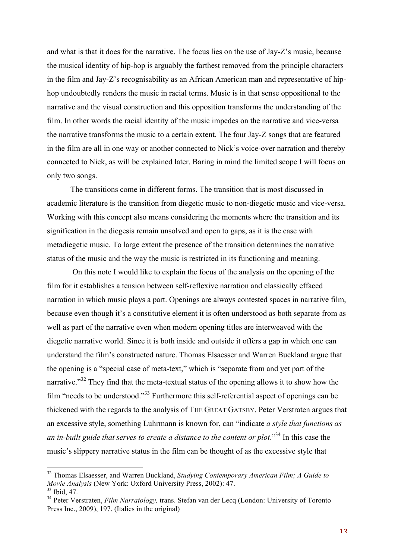and what is that it does for the narrative. The focus lies on the use of Jay-Z's music, because the musical identity of hip-hop is arguably the farthest removed from the principle characters in the film and Jay-Z's recognisability as an African American man and representative of hiphop undoubtedly renders the music in racial terms. Music is in that sense oppositional to the narrative and the visual construction and this opposition transforms the understanding of the film. In other words the racial identity of the music impedes on the narrative and vice-versa the narrative transforms the music to a certain extent. The four Jay-Z songs that are featured in the film are all in one way or another connected to Nick's voice-over narration and thereby connected to Nick, as will be explained later. Baring in mind the limited scope I will focus on only two songs.

The transitions come in different forms. The transition that is most discussed in academic literature is the transition from diegetic music to non-diegetic music and vice-versa. Working with this concept also means considering the moments where the transition and its signification in the diegesis remain unsolved and open to gaps, as it is the case with metadiegetic music. To large extent the presence of the transition determines the narrative status of the music and the way the music is restricted in its functioning and meaning.

 On this note I would like to explain the focus of the analysis on the opening of the film for it establishes a tension between self-reflexive narration and classically effaced narration in which music plays a part. Openings are always contested spaces in narrative film, because even though it's a constitutive element it is often understood as both separate from as well as part of the narrative even when modern opening titles are interweaved with the diegetic narrative world. Since it is both inside and outside it offers a gap in which one can understand the film's constructed nature. Thomas Elsaesser and Warren Buckland argue that the opening is a "special case of meta-text," which is "separate from and yet part of the narrative."<sup>32</sup> They find that the meta-textual status of the opening allows it to show how the film "needs to be understood."33 Furthermore this self-referential aspect of openings can be thickened with the regards to the analysis of THE GREAT GATSBY. Peter Verstraten argues that an excessive style, something Luhrmann is known for, can "indicate *a style that functions as an in-built guide that serves to create a distance to the content or plot*."34 In this case the music's slippery narrative status in the film can be thought of as the excessive style that

<sup>32</sup> Thomas Elsaesser, and Warren Buckland, *Studying Contemporary American Film; A Guide to Movie Analysis* (New York: Oxford University Press, 2002): 47.  $33$  Ibid, 47.

<sup>34</sup> Peter Verstraten, *Film Narratology,* trans. Stefan van der Lecq (London: University of Toronto Press Inc., 2009), 197. (Italics in the original)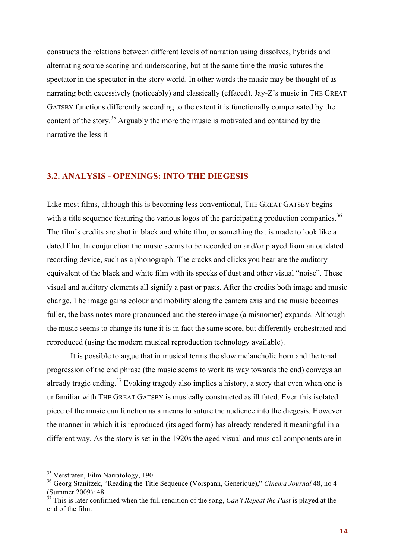constructs the relations between different levels of narration using dissolves, hybrids and alternating source scoring and underscoring, but at the same time the music sutures the spectator in the spectator in the story world. In other words the music may be thought of as narrating both excessively (noticeably) and classically (effaced). Jay-Z's music in THE GREAT GATSBY functions differently according to the extent it is functionally compensated by the content of the story.<sup>35</sup> Arguably the more the music is motivated and contained by the narrative the less it

#### **3.2. ANALYSIS - OPENINGS: INTO THE DIEGESIS**

Like most films, although this is becoming less conventional, THE GREAT GATSBY begins with a title sequence featuring the various logos of the participating production companies.<sup>36</sup> The film's credits are shot in black and white film, or something that is made to look like a dated film. In conjunction the music seems to be recorded on and/or played from an outdated recording device, such as a phonograph. The cracks and clicks you hear are the auditory equivalent of the black and white film with its specks of dust and other visual "noise". These visual and auditory elements all signify a past or pasts. After the credits both image and music change. The image gains colour and mobility along the camera axis and the music becomes fuller, the bass notes more pronounced and the stereo image (a misnomer) expands. Although the music seems to change its tune it is in fact the same score, but differently orchestrated and reproduced (using the modern musical reproduction technology available).

It is possible to argue that in musical terms the slow melancholic horn and the tonal progression of the end phrase (the music seems to work its way towards the end) conveys an already tragic ending.<sup>37</sup> Evoking tragedy also implies a history, a story that even when one is unfamiliar with THE GREAT GATSBY is musically constructed as ill fated. Even this isolated piece of the music can function as a means to suture the audience into the diegesis. However the manner in which it is reproduced (its aged form) has already rendered it meaningful in a different way. As the story is set in the 1920s the aged visual and musical components are in

<sup>&</sup>lt;sup>35</sup> Verstraten, Film Narratology, 190.

<sup>36</sup> Georg Stanitzek, "Reading the Title Sequence (Vorspann, Generique)," *Cinema Journal* 48, no 4 (Summer 2009): 48.

 $37$  This is later confirmed when the full rendition of the song. *Can't Repeat the Past* is played at the end of the film.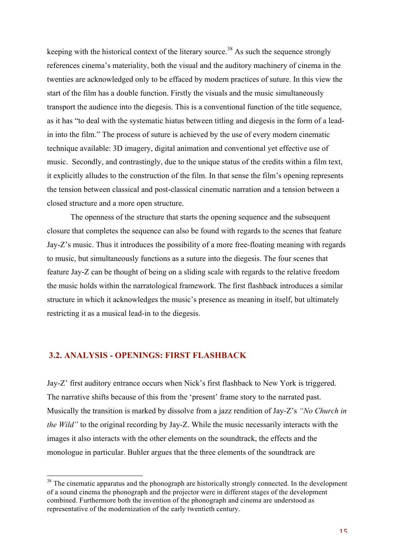keeping with the historical context of the literary source.<sup>38</sup> As such the sequence strongly references cinema's materiality, both the visual and the auditory machinery of cinema in the twenties are acknowledged only to be effaced by modern practices of suture. In this view the start of the film has a double function. Firstly the visuals and the music simultaneously transport the audience into the diegesis. This is a conventional function of the title sequence, as it has "to deal with the systematic hiatus between titling and diegesis in the form of a leadin into the film." The process of suture is achieved by the use of every modern cinematic technique available: 3D imagery, digital animation and conventional yet effective use of music. Secondly, and contrastingly, due to the unique status of the credits within a film text, it explicitly alludes to the construction of the film. In that sense the film's opening represents the tension between classical and post-classical cinematic narration and a tension between a closed structure and a more open structure.

The openness of the structure that starts the opening sequence and the subsequent closure that completes the sequence can also be found with regards to the scenes that feature Jay-Z's music. Thus it introduces the possibility of a more free-floating meaning with regards to music, but simultaneously functions as a suture into the diegesis. The four scenes that feature Jay-Z can be thought of being on a sliding scale with regards to the relative freedom the music holds within the narratological framework. The first flashback introduces a similar structure in which it acknowledges the music's presence as meaning in itself, but ultimately restricting it as a musical lead-in to the diegesis.

#### **3.2. ANALYSIS - OPENINGS: FIRST FLASHBACK**

Jay-Z' first auditory entrance occurs when Nick's first flashback to New York is triggered. The narrative shifts because of this from the 'present' frame story to the narrated past. Musically the transition is marked by dissolve from a jazz rendition of Jay-Z's *"No Church in the Wild"* to the original recording by Jay-Z. While the music necessarily interacts with the images it also interacts with the other elements on the soundtrack, the effects and the monologue in particular. Buhler argues that the three elements of the soundtrack are

<sup>&</sup>lt;sup>38</sup> The cinematic apparatus and the phonograph are historically strongly connected. In the development of a sound cinema the phonograph and the projector were in different stages of the development combined. Furthermore both the invention of the phonograph and cinema are understood as representative of the modernization of the early twentieth century.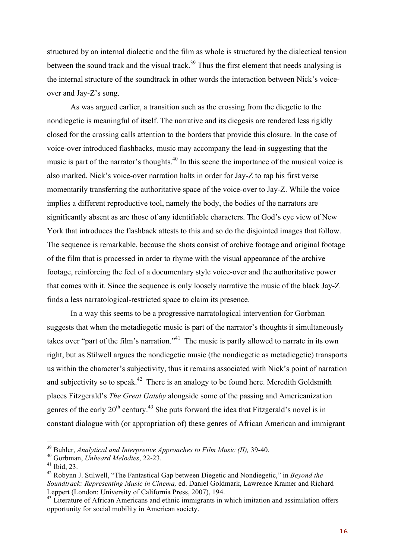structured by an internal dialectic and the film as whole is structured by the dialectical tension between the sound track and the visual track.<sup>39</sup> Thus the first element that needs analysing is the internal structure of the soundtrack in other words the interaction between Nick's voiceover and Jay-Z's song.

As was argued earlier, a transition such as the crossing from the diegetic to the nondiegetic is meaningful of itself. The narrative and its diegesis are rendered less rigidly closed for the crossing calls attention to the borders that provide this closure. In the case of voice-over introduced flashbacks, music may accompany the lead-in suggesting that the music is part of the narrator's thoughts.<sup>40</sup> In this scene the importance of the musical voice is also marked. Nick's voice-over narration halts in order for Jay-Z to rap his first verse momentarily transferring the authoritative space of the voice-over to Jay-Z. While the voice implies a different reproductive tool, namely the body, the bodies of the narrators are significantly absent as are those of any identifiable characters. The God's eye view of New York that introduces the flashback attests to this and so do the disjointed images that follow. The sequence is remarkable, because the shots consist of archive footage and original footage of the film that is processed in order to rhyme with the visual appearance of the archive footage, reinforcing the feel of a documentary style voice-over and the authoritative power that comes with it. Since the sequence is only loosely narrative the music of the black Jay-Z finds a less narratological-restricted space to claim its presence.

In a way this seems to be a progressive narratological intervention for Gorbman suggests that when the metadiegetic music is part of the narrator's thoughts it simultaneously takes over "part of the film's narration."<sup>41</sup> The music is partly allowed to narrate in its own right, but as Stilwell argues the nondiegetic music (the nondiegetic as metadiegetic) transports us within the character's subjectivity, thus it remains associated with Nick's point of narration and subjectivity so to speak.<sup>42</sup> There is an analogy to be found here. Meredith Goldsmith places Fitzgerald's *The Great Gatsby* alongside some of the passing and Americanization genres of the early  $20<sup>th</sup>$  century.<sup>43</sup> She puts forward the idea that Fitzgerald's novel is in constant dialogue with (or appropriation of) these genres of African American and immigrant

 39 Buhler, *Analytical and Interpretive Approaches to Film Music (II),* 39-40.

<sup>40</sup> Gorbman, *Unheard Melodies*, 22-23.

 $41$  Ibid, 23.

<sup>42</sup> Robynn J. Stilwell, "The Fantastical Gap between Diegetic and Nondiegetic," in *Beyond the Soundtrack: Representing Music in Cinema,* ed. Daniel Goldmark, Lawrence Kramer and Richard Leppert (London: University of California Press, 2007), 194.

 $43 \text{ Literature of African Americans}$  and ethnic immigrants in which imitation and assimilation offers opportunity for social mobility in American society.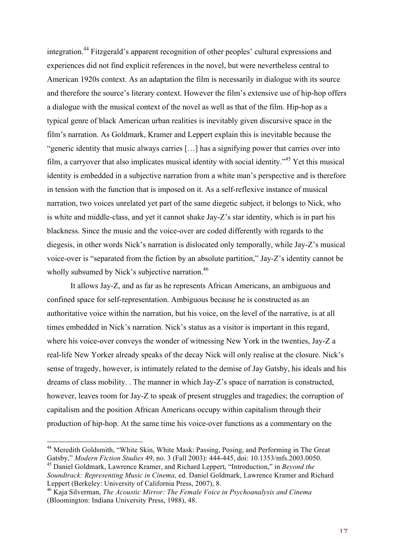integration.44 Fitzgerald's apparent recognition of other peoples' cultural expressions and experiences did not find explicit references in the novel, but were nevertheless central to American 1920s context. As an adaptation the film is necessarily in dialogue with its source and therefore the source's literary context. However the film's extensive use of hip-hop offers a dialogue with the musical context of the novel as well as that of the film. Hip-hop as a typical genre of black American urban realities is inevitably given discursive space in the film's narration. As Goldmark, Kramer and Leppert explain this is inevitable because the "generic identity that music always carries […] has a signifying power that carries over into film, a carryover that also implicates musical identity with social identity."45 Yet this musical identity is embedded in a subjective narration from a white man's perspective and is therefore in tension with the function that is imposed on it. As a self-reflexive instance of musical narration, two voices unrelated yet part of the same diegetic subject, it belongs to Nick, who is white and middle-class, and yet it cannot shake Jay-Z's star identity, which is in part his blackness. Since the music and the voice-over are coded differently with regards to the diegesis, in other words Nick's narration is dislocated only temporally, while Jay-Z's musical voice-over is "separated from the fiction by an absolute partition," Jay-Z's identity cannot be wholly subsumed by Nick's subjective narration.<sup>46</sup>

It allows Jay-Z, and as far as he represents African Americans, an ambiguous and confined space for self-representation. Ambiguous because he is constructed as an authoritative voice within the narration, but his voice, on the level of the narrative, is at all times embedded in Nick's narration. Nick's status as a visitor is important in this regard, where his voice-over conveys the wonder of witnessing New York in the twenties, Jay-Z a real-life New Yorker already speaks of the decay Nick will only realise at the closure. Nick's sense of tragedy, however, is intimately related to the demise of Jay Gatsby, his ideals and his dreams of class mobility. . The manner in which Jay-Z's space of narration is constructed, however, leaves room for Jay-Z to speak of present struggles and tragedies; the corruption of capitalism and the position African Americans occupy within capitalism through their production of hip-hop. At the same time his voice-over functions as a commentary on the

<sup>&</sup>lt;sup>44</sup> Meredith Goldsmith, "White Skin, White Mask: Passing, Posing, and Performing in The Great Gatsby," *Modern Fiction Studies* 49, no. 3 (Fall 2003): 444-445, doi: 10.1353/mfs.2003.0050. <sup>45</sup> Daniel Goldmark, Lawrence Kramer, and Richard Leppert, "Introduction," in *Beyond the* 

*Soundtrack: Representing Music in Cinema*, ed. Daniel Goldmark, Lawrence Kramer and Richard Leppert (Berkeley: University of California Press, 2007), 8.

<sup>46</sup> Kaja Silverman, *The Acoustic Mirror: The Female Voice in Psychoanalysis and Cinema*  (Bloomington: Indiana University Press, 1988), 48.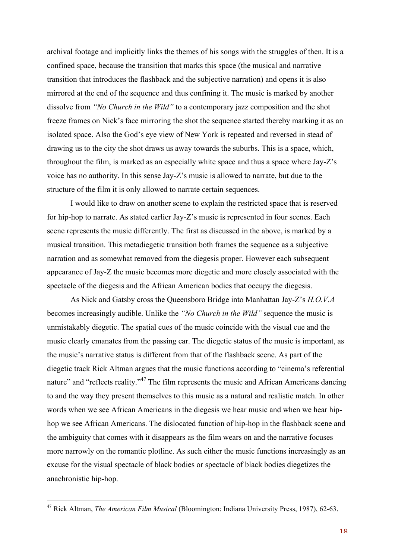archival footage and implicitly links the themes of his songs with the struggles of then. It is a confined space, because the transition that marks this space (the musical and narrative transition that introduces the flashback and the subjective narration) and opens it is also mirrored at the end of the sequence and thus confining it. The music is marked by another dissolve from *"No Church in the Wild"* to a contemporary jazz composition and the shot freeze frames on Nick's face mirroring the shot the sequence started thereby marking it as an isolated space. Also the God's eye view of New York is repeated and reversed in stead of drawing us to the city the shot draws us away towards the suburbs. This is a space, which, throughout the film, is marked as an especially white space and thus a space where Jay-Z's voice has no authority. In this sense Jay-Z's music is allowed to narrate, but due to the structure of the film it is only allowed to narrate certain sequences.

I would like to draw on another scene to explain the restricted space that is reserved for hip-hop to narrate. As stated earlier Jay-Z's music is represented in four scenes. Each scene represents the music differently. The first as discussed in the above, is marked by a musical transition. This metadiegetic transition both frames the sequence as a subjective narration and as somewhat removed from the diegesis proper. However each subsequent appearance of Jay-Z the music becomes more diegetic and more closely associated with the spectacle of the diegesis and the African American bodies that occupy the diegesis.

As Nick and Gatsby cross the Queensboro Bridge into Manhattan Jay-Z's *H.O.V.A*  becomes increasingly audible. Unlike the *"No Church in the Wild"* sequence the music is unmistakably diegetic. The spatial cues of the music coincide with the visual cue and the music clearly emanates from the passing car. The diegetic status of the music is important, as the music's narrative status is different from that of the flashback scene. As part of the diegetic track Rick Altman argues that the music functions according to "cinema's referential nature" and "reflects reality."<sup>47</sup> The film represents the music and African Americans dancing to and the way they present themselves to this music as a natural and realistic match. In other words when we see African Americans in the diegesis we hear music and when we hear hiphop we see African Americans. The dislocated function of hip-hop in the flashback scene and the ambiguity that comes with it disappears as the film wears on and the narrative focuses more narrowly on the romantic plotline. As such either the music functions increasingly as an excuse for the visual spectacle of black bodies or spectacle of black bodies diegetizes the anachronistic hip-hop.

 47 Rick Altman, *The American Film Musical* (Bloomington: Indiana University Press, 1987), 62-63.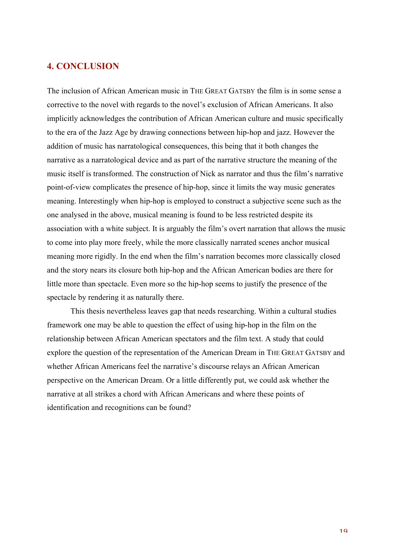#### **4. CONCLUSION**

The inclusion of African American music in THE GREAT GATSBY the film is in some sense a corrective to the novel with regards to the novel's exclusion of African Americans. It also implicitly acknowledges the contribution of African American culture and music specifically to the era of the Jazz Age by drawing connections between hip-hop and jazz. However the addition of music has narratological consequences, this being that it both changes the narrative as a narratological device and as part of the narrative structure the meaning of the music itself is transformed. The construction of Nick as narrator and thus the film's narrative point-of-view complicates the presence of hip-hop, since it limits the way music generates meaning. Interestingly when hip-hop is employed to construct a subjective scene such as the one analysed in the above, musical meaning is found to be less restricted despite its association with a white subject. It is arguably the film's overt narration that allows the music to come into play more freely, while the more classically narrated scenes anchor musical meaning more rigidly. In the end when the film's narration becomes more classically closed and the story nears its closure both hip-hop and the African American bodies are there for little more than spectacle. Even more so the hip-hop seems to justify the presence of the spectacle by rendering it as naturally there.

This thesis nevertheless leaves gap that needs researching. Within a cultural studies framework one may be able to question the effect of using hip-hop in the film on the relationship between African American spectators and the film text. A study that could explore the question of the representation of the American Dream in THE GREAT GATSBY and whether African Americans feel the narrative's discourse relays an African American perspective on the American Dream. Or a little differently put, we could ask whether the narrative at all strikes a chord with African Americans and where these points of identification and recognitions can be found?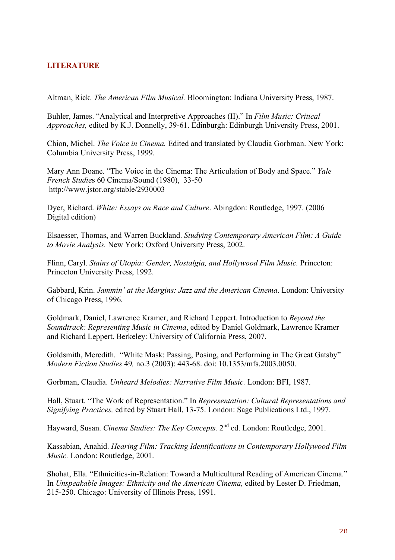## **LITERATURE**

Altman, Rick. *The American Film Musical.* Bloomington: Indiana University Press, 1987.

Buhler, James. "Analytical and Interpretive Approaches (II)." In *Film Music: Critical Approaches,* edited by K.J. Donnelly, 39-61. Edinburgh: Edinburgh University Press, 2001.

Chion, Michel. *The Voice in Cinema.* Edited and translated by Claudia Gorbman. New York: Columbia University Press, 1999.

Mary Ann Doane. "The Voice in the Cinema: The Articulation of Body and Space." *Yale French Studie*s 60 Cinema/Sound (1980), 33-50 http://www.jstor.org/stable/2930003

Dyer, Richard. *White: Essays on Race and Culture*. Abingdon: Routledge, 1997. (2006 Digital edition)

Elsaesser, Thomas, and Warren Buckland. *Studying Contemporary American Film: A Guide to Movie Analysis.* New York: Oxford University Press, 2002.

Flinn, Caryl. *Stains of Utopia: Gender, Nostalgia, and Hollywood Film Music.* Princeton: Princeton University Press, 1992.

Gabbard, Krin. *Jammin' at the Margins: Jazz and the American Cinema*. London: University of Chicago Press, 1996.

Goldmark, Daniel, Lawrence Kramer, and Richard Leppert. Introduction to *Beyond the Soundtrack: Representing Music in Cinema*, edited by Daniel Goldmark, Lawrence Kramer and Richard Leppert. Berkeley: University of California Press, 2007.

Goldsmith, Meredith. "White Mask: Passing, Posing, and Performing in The Great Gatsby" *Modern Fiction Studies* 49*,* no.3 (2003): 443-68. doi: 10.1353/mfs.2003.0050.

Gorbman, Claudia. *Unheard Melodies: Narrative Film Music.* London: BFI, 1987.

Hall, Stuart. "The Work of Representation." In *Representation: Cultural Representations and Signifying Practices,* edited by Stuart Hall, 13-75. London: Sage Publications Ltd., 1997.

Hayward, Susan. *Cinema Studies: The Key Concepts.* 2nd ed. London: Routledge, 2001.

Kassabian, Anahid. *Hearing Film: Tracking Identifications in Contemporary Hollywood Film Music.* London: Routledge, 2001.

Shohat, Ella. "Ethnicities-in-Relation: Toward a Multicultural Reading of American Cinema." In *Unspeakable Images: Ethnicity and the American Cinema*, edited by Lester D. Friedman, 215-250. Chicago: University of Illinois Press, 1991.